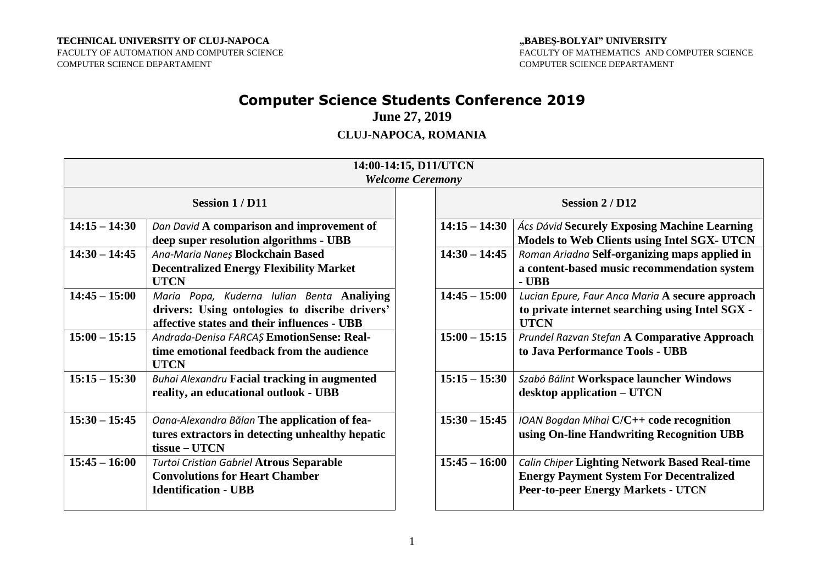#### **TECHNICAL UNIVERSITY OF CLUJ-NAPOCA**

FACULTY OF AUTOMATION AND COMPUTER SCIENCE COMPUTER SCIENCE DEPARTAMENT

#### **"BABEŞ-BOLYAI" UNIVERSITY** FACULTY OF MATHEMATICS AND COMPUTER SCIENCE COMPUTER SCIENCE DEPARTAMENT

# **Computer Science Students Conference 2019**

**June 27, 2019**

## **CLUJ-NAPOCA, ROMANIA**

| 14:00-14:15, D11/UTCN<br><b>Welcome Ceremony</b> |                                                                                                                                             |  |                 |                                                                                                                                                     |  |  |
|--------------------------------------------------|---------------------------------------------------------------------------------------------------------------------------------------------|--|-----------------|-----------------------------------------------------------------------------------------------------------------------------------------------------|--|--|
| <b>Session 1/D11</b>                             |                                                                                                                                             |  | Session 2 / D12 |                                                                                                                                                     |  |  |
| $14:15 - 14:30$                                  | Dan David A comparison and improvement of<br>deep super resolution algorithms - UBB                                                         |  | $14:15 - 14:30$ | <b>Ács Dávid Securely Exposing Machine Learning</b><br><b>Models to Web Clients using Intel SGX- UTCN</b>                                           |  |  |
| $14:30 - 14:45$                                  | Ana-Maria Naneș Blockchain Based<br><b>Decentralized Energy Flexibility Market</b><br><b>UTCN</b>                                           |  | $14:30 - 14:45$ | Roman Ariadna Self-organizing maps applied in<br>a content-based music recommendation system<br>$-$ UBB                                             |  |  |
| $14:45 - 15:00$                                  | Maria Popa, Kuderna Iulian Benta Analiying<br>drivers: Using ontologies to discribe drivers'<br>affective states and their influences - UBB |  | $14:45 - 15:00$ | Lucian Epure, Faur Anca Maria A secure approach<br>to private internet searching using Intel SGX -<br><b>UTCN</b>                                   |  |  |
| $15:00 - 15:15$                                  | Andrada-Denisa FARCAȘ EmotionSense: Real-<br>time emotional feedback from the audience<br><b>UTCN</b>                                       |  | $15:00 - 15:15$ | Prundel Razvan Stefan A Comparative Approach<br>to Java Performance Tools - UBB                                                                     |  |  |
| $15:15 - 15:30$                                  | <b>Buhai Alexandru Facial tracking in augmented</b><br>reality, an educational outlook - UBB                                                |  | $15:15 - 15:30$ | Szabó Bálint Workspace launcher Windows<br>desktop application – UTCN                                                                               |  |  |
| $15:30 - 15:45$                                  | Oana-Alexandra Bălan The application of fea-<br>tures extractors in detecting unhealthy hepatic<br>tissue – UTCN                            |  | $15:30 - 15:45$ | IOAN Bogdan Mihai C/C++ code recognition<br>using On-line Handwriting Recognition UBB                                                               |  |  |
| $15:45 - 16:00$                                  | Turtoi Cristian Gabriel Atrous Separable<br><b>Convolutions for Heart Chamber</b><br><b>Identification - UBB</b>                            |  | $15:45 - 16:00$ | <b>Calin Chiper Lighting Network Based Real-time</b><br><b>Energy Payment System For Decentralized</b><br><b>Peer-to-peer Energy Markets - UTCN</b> |  |  |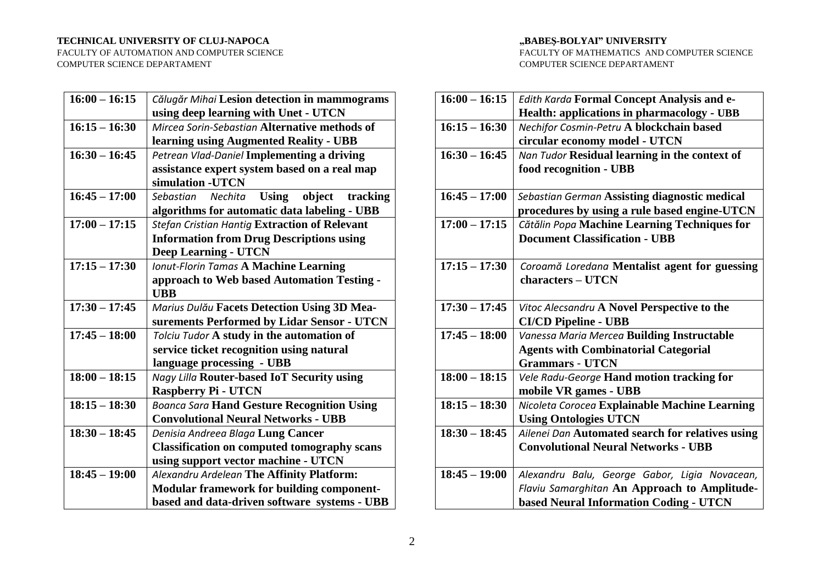#### **TECHNICAL UNIVERSITY OF CLUJ-NAPOCA**

FACULTY OF AUTOMATION AND COMPUTER SCIENCE COMPUTER SCIENCE DEPARTAMENT

#### **"BABEŞ-BOLYAI" UNIVERSITY**

FACULTY OF MATHEMATICS AND COMPUTER SCIENCE COMPUTER SCIENCE DEPARTAMENT

| $16:00 - 16:15$          | Călugăr Mihai Lesion detection in mammograms               |  |  |  |
|--------------------------|------------------------------------------------------------|--|--|--|
|                          | using deep learning with Unet - UTCN                       |  |  |  |
| $16:15 - 16:30$          | Mircea Sorin-Sebastian Alternative methods of              |  |  |  |
|                          | learning using Augmented Reality - UBB                     |  |  |  |
| $16:30 - 16:45$          | Petrean Vlad-Daniel Implementing a driving                 |  |  |  |
|                          | assistance expert system based on a real map               |  |  |  |
|                          | simulation - UTCN                                          |  |  |  |
| $16:45 - 17:00$          | <b>Using</b><br>object<br>tracking<br>Sebastian<br>Nechita |  |  |  |
|                          | algorithms for automatic data labeling - UBB               |  |  |  |
| $17:00 - 17:15$          | <b>Stefan Cristian Hantig Extraction of Relevant</b>       |  |  |  |
|                          | <b>Information from Drug Descriptions using</b>            |  |  |  |
|                          | <b>Deep Learning - UTCN</b>                                |  |  |  |
| $17:15 - 17:30$          | <b>Ionut-Florin Tamas A Machine Learning</b>               |  |  |  |
|                          | approach to Web based Automation Testing -                 |  |  |  |
|                          | <b>UBB</b>                                                 |  |  |  |
| $17:30 - 17:45$          | Marius Dulău Facets Detection Using 3D Mea-                |  |  |  |
|                          | surements Performed by Lidar Sensor - UTCN                 |  |  |  |
| $17:45 - 18:00$          | Tolciu Tudor A study in the automation of                  |  |  |  |
|                          | service ticket recognition using natural                   |  |  |  |
|                          | language processing - UBB                                  |  |  |  |
| $18:00 - 18:15$          | Nagy Lilla Router-based IoT Security using                 |  |  |  |
|                          | <b>Raspberry Pi - UTCN</b>                                 |  |  |  |
| $18:15 - 18:30$          | <b>Boanca Sara Hand Gesture Recognition Using</b>          |  |  |  |
|                          | <b>Convolutional Neural Networks - UBB</b>                 |  |  |  |
| $18:30 - 18:45$          | Denisia Andreea Blaga Lung Cancer                          |  |  |  |
|                          | <b>Classification on computed tomography scans</b>         |  |  |  |
|                          | using support vector machine - UTCN                        |  |  |  |
| $\overline{18:45-19}:00$ | Alexandru Ardelean The Affinity Platform:                  |  |  |  |
|                          | Modular framework for building component-                  |  |  |  |
|                          | based and data-driven software systems - UBB               |  |  |  |

| $16:00 - 16:15$ | Edith Karda Formal Concept Analysis and e-        |
|-----------------|---------------------------------------------------|
|                 | <b>Health: applications in pharmacology - UBB</b> |
| $16:15 - 16:30$ | Nechifor Cosmin-Petru A blockchain based          |
|                 | circular economy model - UTCN                     |
| $16:30 - 16:45$ | Nan Tudor Residual learning in the context of     |
|                 | food recognition - UBB                            |
|                 |                                                   |
| $16:45 - 17:00$ | Sebastian German Assisting diagnostic medical     |
|                 | procedures by using a rule based engine-UTCN      |
| $17:00 - 17:15$ | Cătălin Popa Machine Learning Techniques for      |
|                 | <b>Document Classification - UBB</b>              |
|                 |                                                   |
| $17:15 - 17:30$ | Coroamă Loredana Mentalist agent for guessing     |
|                 | characters - UTCN                                 |
|                 |                                                   |
| $17:30 - 17:45$ | Vitoc Alecsandru A Novel Perspective to the       |
|                 | <b>CI/CD Pipeline - UBB</b>                       |
| $17:45 - 18:00$ | Vanessa Maria Mercea Building Instructable        |
|                 | <b>Agents with Combinatorial Categorial</b>       |
|                 | <b>Grammars - UTCN</b>                            |
| $18:00 - 18:15$ | Vele Radu-George Hand motion tracking for         |
|                 | mobile VR games - UBB                             |
| $18:15 - 18:30$ | Nicoleta Corocea Explainable Machine Learning     |
|                 | <b>Using Ontologies UTCN</b>                      |
| $18:30 - 18:45$ | Ailenei Dan Automated search for relatives using  |
|                 | <b>Convolutional Neural Networks - UBB</b>        |
|                 |                                                   |
| $18:45 - 19:00$ | Alexandru Balu, George Gabor, Ligia Novacean,     |
|                 | Flaviu Samarghitan An Approach to Amplitude-      |
|                 | <b>based Neural Information Coding - UTCN</b>     |